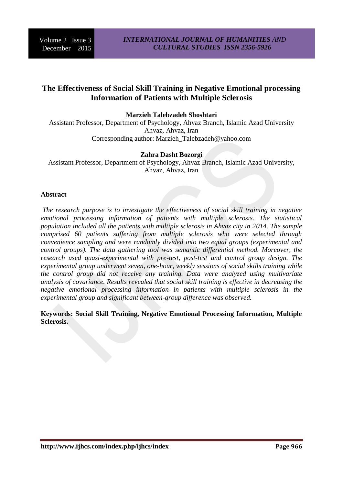# **The Effectiveness of Social Skill Training in Negative Emotional processing Information of Patients with Multiple Sclerosis**

**Marzieh Talebzadeh Shoshtari**

Assistant Professor, Department of Psychology, Ahvaz Branch, Islamic Azad University Ahvaz, Ahvaz, Iran Corresponding author: Marzieh\_Talebzadeh@yahoo.com

#### **Zahra Dasht Bozorgi**

Assistant Professor, Department of Psychology, Ahvaz Branch, Islamic Azad University, Ahvaz, Ahvaz, Iran

#### **Abstract**

*The research purpose is to investigate the effectiveness of social skill training in negative*  emotional processing information of patients with multiple sclerosis. The statistical *population included all the patients with multiple sclerosis in Ahvaz city in 2014. The sample comprised 60 patients suffering from multiple sclerosis who were selected through convenience sampling and were randomly divided into two equal groups (experimental and control groups). The data gathering tool was semantic differential method. Moreover, the research used quasi-experimental with pre-test, post-test and control group design. The experimental group underwent seven, one-hour, weekly sessions of social skills training while the control group did not receive any training. Data were analyzed using multivariate analysis of covariance. Results revealed that social skill training is effective in decreasing the negative emotional processing information in patients with multiple sclerosis in the experimental group and significant between-group difference was observed.* 

**Keywords: Social Skill Training, Negative Emotional Processing Information, Multiple Sclerosis.**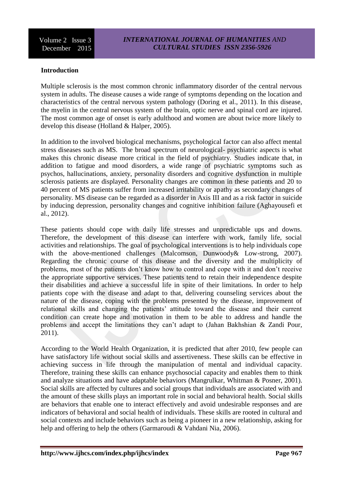### **Introduction**

Multiple sclerosis is the most common chronic inflammatory disorder of the central nervous system in adults. The disease causes a wide range of symptoms depending on the location and characteristics of the central nervous system pathology (Doring et al., 2011). In this disease, the myelin in the central nervous system of the brain, optic nerve and spinal cord are injured. The most common age of onset is early adulthood and women are about twice more likely to develop this disease (Holland & Halper, 2005).

In addition to the involved biological mechanisms, psychological factor can also affect mental stress diseases such as MS. The broad spectrum of neurological- psychiatric aspects is what makes this chronic disease more critical in the field of psychiatry. Studies indicate that, in addition to fatigue and mood disorders, a wide range of psychiatric symptoms such as psychos, hallucinations, anxiety, personality disorders and cognitive dysfunction in multiple sclerosis patients are displayed. Personality changes are common in these patients and 20 to 40 percent of MS patients suffer from increased irritability or apathy as secondary changes of personality. MS disease can be regarded as a disorder in Axis III and as a risk factor in suicide by inducing depression, personality changes and cognitive inhibition failure (Aghayousefi et al., 2012).

These patients should cope with daily life stresses and unpredictable ups and downs. Therefore, the development of this disease can interfere with work, family life, social activities and relationships. The goal of psychological interventions is to help individuals cope with the above-mentioned challenges (Malcomson, Dunwoody & Low-strong, 2007). Regarding the chronic course of this disease and the diversity and the multiplicity of problems, most of the patients don't know how to control and cope with it and don't receive the appropriate supportive services. These patients tend to retain their independence despite their disabilities and achieve a successful life in spite of their limitations. In order to help patients cope with the disease and adapt to that, delivering counseling services about the nature of the disease, coping with the problems presented by the disease, improvement of relational skills and changing the patients' attitude toward the disease and their current condition can create hope and motivation in them to be able to address and handle the problems and accept the limitations they can't adapt to (Jahan Bakhshian & Zandi Pour, 2011).

According to the World Health Organization, it is predicted that after 2010, few people can have satisfactory life without social skills and assertiveness. These skills can be effective in achieving success in life through the manipulation of mental and individual capacity. Therefore, training these skills can enhance psychosocial capacity and enables them to think and analyze situations and have adaptable behaviors (Mangrulkar, Whitman & Posner, 2001). Social skills are affected by cultures and social groups that individuals are associated with and the amount of these skills plays an important role in social and behavioral health. Social skills are behaviors that enable one to interact effectively and avoid undesirable responses and are indicators of behavioral and social health of individuals. These skills are rooted in cultural and social contexts and include behaviors such as being a pioneer in a new relationship, asking for help and offering to help the others (Garmaroudi & Vahdani Nia, 2006).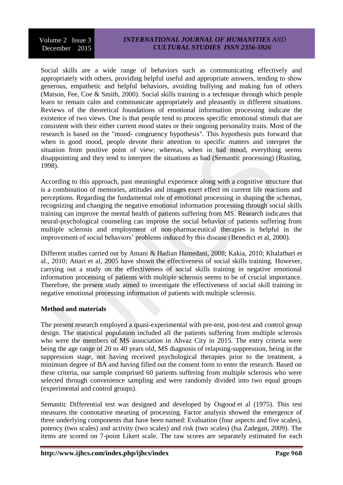Volume 2 Issue 3 December 2015

## *INTERNATIONAL JOURNAL OF HUMANITIES AND CULTURAL STUDIES ISSN 2356-5926*

Social skills are a wide range of behaviors such as communicating effectively and appropriately with others, providing helpful useful and appropriate answers, tending to show generous, empathetic and helpful behaviors, avoiding bullying and making fun of others (Matson, Fee, Coe & Smith, 2000). Social skills training is a technique through which people learn to remain calm and communicate appropriately and pleasantly in different situations. Reviews of the theoretical foundations of emotional information processing indicate the existence of two views. One is that people tend to process specific emotional stimuli that are consistent with their either current mood states or their ongoing personality traits. Most of the research is based on the "mood- congruency hypothesis". This hypothesis puts forward that when in good mood, people devote their attention to specific matters and interpret the situation from positive point of view; whereas, when in bad mood, everything seems disappointing and they tend to interpret the situations as bad (Semantic processing) (Rusting, 1998).

According to this approach, past meaningful experience along with a cognitive structure that is a combination of memories, attitudes and images exert effect on current life reactions and perceptions. Regarding the fundamental role of emotional processing in shaping the schemas, recognizing and changing the negative emotional information processing through social skills training can improve the mental health of patients suffering from MS. Research indicates that neural-psychological counseling can improve the social behavior of patients suffering from multiple sclerosis and employment of non-pharmaceutical therapies is helpful in the improvement of social behaviors' problems induced by this disease (Benedict et al, 2000).

Different studies carried out by Amani & Hadian Hamedani, 2008; Kakia, 2010; Khalatbari et al., 2010; Attari et al, 2005 have shown the effectiveness of social skills training. However, carrying out a study on the effectiveness of social skills training in negative emotional information processing of patients with multiple sclerosis seems to be of crucial importance. Therefore, the present study aimed to investigate the effectiveness of social skill training in negative emotional processing information of patients with multiple sclerosis.

#### **Method and materials**

The present research employed a quasi-experimental with pre-test, post-test and control group design. The statistical population included all the patients suffering from multiple sclerosis who were the members of MS association in Ahvaz City in 2015. The entry criteria were being the age range of 20 to 40 years old, MS diagnosis of relapsing-suppression, being in the suppression stage, not having received psychological therapies prior to the treatment, a minimum degree of BA and having filled out the consent form to enter the research. Based on these criteria, our sample comprised 60 patients suffering from multiple sclerosis who were selected through convenience sampling and were randomly divided into two equal groups (experimental and control groups).

Semantic Differential test was designed and developed by Osgood et al (1975). This test measures the connotative meaning of processing. Factor analysis showed the emergence of three underlying components that have been named: Evaluation (four aspects and five scales), potency (two scales) and activity (two scales) and risk (two scales) (Isa Zadegan, 2009). The items are scored on 7-point Likert scale. The raw scores are separately estimated for each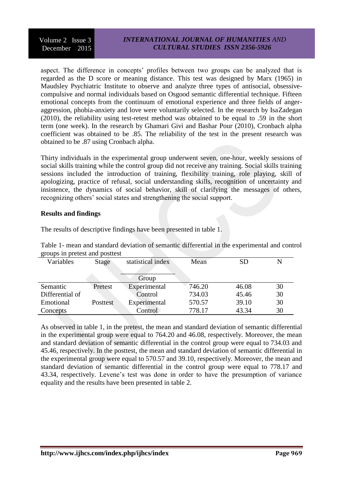Volume 2 Issue 3 December 2015

## *INTERNATIONAL JOURNAL OF HUMANITIES AND CULTURAL STUDIES ISSN 2356-5926*

aspect. The difference in concepts' profiles between two groups can be analyzed that is regarded as the D score or meaning distance. This test was designed by Marx (1965) in Maudsley Psychiatric Institute to observe and analyze three types of antisocial, obsessivecompulsive and normal individuals based on Osgood semantic differential technique. Fifteen emotional concepts from the continuum of emotional experience and three fields of angeraggression, phobia-anxiety and love were voluntarily selected. In the research by IsaZadegan (2010), the reliability using test-retest method was obtained to be equal to .59 in the short term (one week). In the research by Ghamari Givi and Bashar Pour (2010), Cronbach alpha coefficient was obtained to be .85. The reliability of the test in the present research was obtained to be .87 using Cronbach alpha.

Thirty individuals in the experimental group underwent seven, one-hour, weekly sessions of social skills training while the control group did not receive any training. Social skills training sessions included the introduction of training, flexibility training, role playing, skill of apologizing, practice of refusal, social understanding skills, recognition of uncertainty and insistence, the dynamics of social behavior, skill of clarifying the messages of others, recognizing others' social states and strengthening the social support.

#### **Results and findings**

Emotional Concepts

|                                |         | Table 1- mean and standard deviation of semantic differential in the experimental and |        |           |    |
|--------------------------------|---------|---------------------------------------------------------------------------------------|--------|-----------|----|
| groups in pretest and posttest |         |                                                                                       |        |           |    |
| Variables                      | Stage   | statistical index                                                                     | Mean   | <b>SD</b> | N  |
|                                |         |                                                                                       |        |           |    |
|                                |         | Group                                                                                 |        |           |    |
| Semantic                       | Pretest | Experimental                                                                          | 746.20 | 46.08     | 30 |
| Differential of                |         | Control                                                                               | 734.03 | 45.46     | 30 |

The results of descriptive findings have been presented in table 1.

Table 1- mean and standard deviation of semantic differential in the experimental and control groups in pretest and posttest

As observed in table 1, in the pretest, the mean and standard deviation of semantic differential in the experimental group were equal to 764.20 and 46.08, respectively. Moreover, the mean and standard deviation of semantic differential in the control group were equal to 734.03 and 45.46, respectively. In the posttest, the mean and standard deviation of semantic differential in the experimental group were equal to 570.57 and 39.10, respectively. Moreover, the mean and standard deviation of semantic differential in the control group were equal to 778.17 and 43.34, respectively. Levene's test was done in order to have the presumption of variance equality and the results have been presented in table 2.

Posttest Experimental 570.57 39.10 30

Control 778.17 43.34 30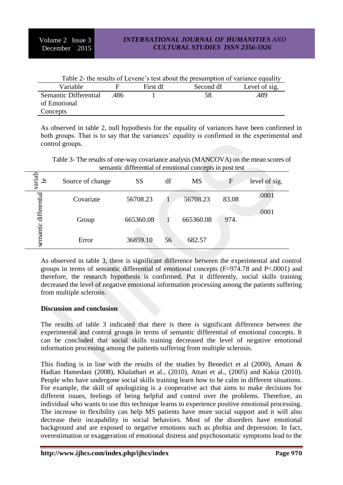| Table 2- the results of Levene's test about the presumption of variance equality |      |          |           |               |  |  |  |  |
|----------------------------------------------------------------------------------|------|----------|-----------|---------------|--|--|--|--|
| Variable                                                                         |      | First df | Second df | Level of sig. |  |  |  |  |
| Semantic Differential                                                            | -486 |          | 58        | .489          |  |  |  |  |
| of Emotional                                                                     |      |          |           |               |  |  |  |  |
| Concepts                                                                         |      |          |           |               |  |  |  |  |

As observed in table 2, null hypothesis for the equality of variances have been confirmed in both groups. That is to say that the variances' equality is confirmed in the experimental and control groups.

Table 3- The results of one-way covariance analysis (MANCOVA) on the mean scores of semantic differential of emotional concepts in post test

| variab<br>ٵ  | Source of change | <b>SS</b> | df | <b>MS</b> | $\mathbf{F}$ | level of sig. |
|--------------|------------------|-----------|----|-----------|--------------|---------------|
|              | Covariate        | 56708.23  |    | 56708.23  | 83.08        | .0001         |
| differential | Group            | 665360.08 |    | 665360.08 | 974.         | .0001         |
| semantic     | Error            | 36859.10  | 56 | 682.57    |              |               |

As observed in table 3, there is significant difference between the experimental and control groups in terms of semantic differential of emotional concepts (F=974.78 and P<.0001) and therefore, the research hypothesis is confirmed. Put it differently, social skills training decreased the level of negative emotional information processing among the patients suffering from multiple sclerosis.

## **Discussion and conclusion**

The results of table 3 indicated that there is there is significant difference between the experimental and control groups in terms of semantic differential of emotional concepts. It can be concluded that social skills training decreased the level of negative emotional information processing among the patients suffering from multiple sclerosis.

This finding is in line with the results of the studies by Benedict et al (2000), Amani & Hadian Hamedani (2008), Khalatbari et al., (2010), Attari et al., (2005) and Kakia (2010). People who have undergone social skills training learn how to be calm in different situations. For example, the skill of apologizing is a cooperative act that aims to make decisions for different issues, feelings of being helpful and control over the problems. Therefore, an individual who wants to use this technique learns to experience positive emotional processing. The increase in flexibility can help MS patients have more social support and it will also decrease their incapability in social behaviors. Most of the disorders have emotional background and are exposed to negative emotions such as phobia and depression. In fact, overestimation or exaggeration of emotional distress and psychosomatic symptoms lead to the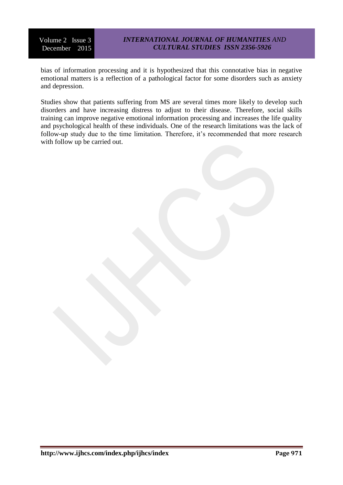Volume 2 Issue 3 December 2015

bias of information processing and it is hypothesized that this connotative bias in negative emotional matters is a reflection of a pathological factor for some disorders such as anxiety and depression.

Studies show that patients suffering from MS are several times more likely to develop such disorders and have increasing distress to adjust to their disease. Therefore, social skills training can improve negative emotional information processing and increases the life quality and psychological health of these individuals. One of the research limitations was the lack of follow-up study due to the time limitation. Therefore, it's recommended that more research with follow up be carried out.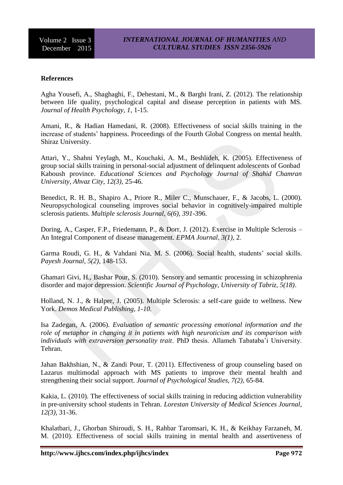#### **References**

Agha Yousefi, A., Shaghaghi, F., Dehestani, M., & Barghi Irani, Z. (2012). The relationship between life quality, psychological capital and disease perception in patients with MS. *Journal of Health Psychology, 1,* 1-15.

Amani, R., & Hadian Hamedani, R. (2008). Effectiveness of social skills training in the increase of students' happiness. Proceedings of the Fourth Global Congress on mental health. Shiraz University.

Attari, Y., Shahni Yeylagh, M., Kouchaki, A. M., Beshlideh, K. (2005). Effectiveness of group social skills training in personal-social adjustment of delinquent adolescents of Gonbad Kaboush province. *Educational Sciences and Psychology Journal of Shahid Chamran University, Ahvaz City, 12(3),* 25-46.

Benedict, R. H. B., Shapiro A., Priore R., Miler C., Munschauer, F., & Jacobs, L. (2000). Neuropsychological counseling improves social behavior in cognitively-impaired multiple sclerosis patients. *Multiple sclerosis Journal, 6(6), 391*-396.

Doring, A., Casper, F.P., Friedemann, P., & Dorr, J. (2012). Exercise in Multiple Sclerosis – An Integral Component of disease management. *EPMA Journal, 3(1),* 2.

Garma Roudi, G. H., & Vahdani Nia, M. S. (2006). Social health, students' social skills. *Payesh Journal, 5(2),* 148-153.

Ghamari Givi, H., Bashar Pour, S. (2010). Sensory and semantic processing in schizophrenia disorder and major depression. *Scientific Journal of Psychology, University of Tabriz, 5(18)*.

Holland, N. J., & Halper, J. (2005). Multiple Sclerosis: a self-care guide to wellness. New York. *Demos Medical Publishing, 1-10*.

Isa Zadegan, A. (2006). *Evaluation of semantic processing emotional information and the role of metaphor in changing it in patients with high neuroticism and its comparison with individuals with extraversion personality trait*. PhD thesis. Allameh Tabataba'i University. Tehran.

Jahan Bakhshian, N., & Zandi Pour, T. (2011). Effectiveness of group counseling based on Lazarus multimodal approach with MS patients to improve their mental health and strengthening their social support*. Journal of Psychological Studies, 7(2),* 65-84.

Kakia, L. (2010). The effectiveness of social skills training in reducing addiction vulnerability in pre-university school students in Tehran. *Lorestan University of Medical Sciences Journal, 12(3),* 31-36.

Khalatbari, J., Ghorban Shiroudi, S. H., Rahbar Taromsari, K. H., & Keikhay Farzaneh, M. M. (2010). Effectiveness of social skills training in mental health and assertiveness of